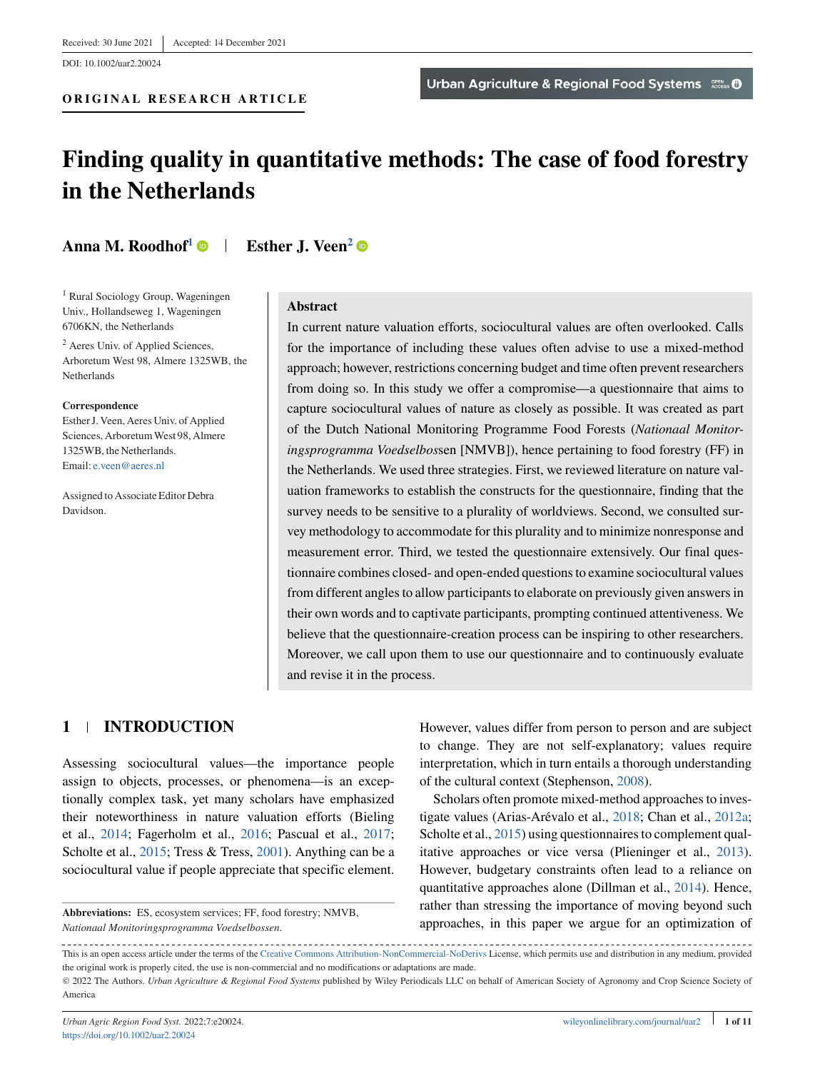DOI: 10.1002/uar2.20024

# **Finding quality in quantitative methods: The case of food forestry in the Netherlands**

# **Anna M. Roodhof<sup>1</sup>**  $\bullet$  **| Esther J. Veen<sup>2</sup>**  $\bullet$

<sup>1</sup> Rural Sociology Group, Wageningen Univ., Hollandseweg 1, Wageningen 6706KN, the Netherlands

<sup>2</sup> Aeres Univ. of Applied Sciences, Arboretum West 98, Almere 1325WB, the Netherlands

#### **Correspondence**

Esther J. Veen, Aeres Univ. of Applied Sciences, ArboretumWest 98, Almere 1325WB, the Netherlands. Email: [e.veen@aeres.nl](mailto:e.veen@aeres.nl)

Assigned to Associate Editor Debra Davidson.

#### **Abstract**

In current nature valuation efforts, sociocultural values are often overlooked. Calls for the importance of including these values often advise to use a mixed-method approach; however, restrictions concerning budget and time often prevent researchers from doing so. In this study we offer a compromise—a questionnaire that aims to capture sociocultural values of nature as closely as possible. It was created as part of the Dutch National Monitoring Programme Food Forests (*Nationaal Monitoringsprogramma Voedselbos*sen [NMVB]), hence pertaining to food forestry (FF) in the Netherlands. We used three strategies. First, we reviewed literature on nature valuation frameworks to establish the constructs for the questionnaire, finding that the survey needs to be sensitive to a plurality of worldviews. Second, we consulted survey methodology to accommodate for this plurality and to minimize nonresponse and measurement error. Third, we tested the questionnaire extensively. Our final questionnaire combines closed- and open-ended questions to examine sociocultural values from different angles to allow participants to elaborate on previously given answers in their own words and to captivate participants, prompting continued attentiveness. We believe that the questionnaire-creation process can be inspiring to other researchers. Moreover, we call upon them to use our questionnaire and to continuously evaluate and revise it in the process.

# **1 INTRODUCTION**

Assessing sociocultural values—the importance people assign to objects, processes, or phenomena—is an exceptionally complex task, yet many scholars have emphasized their noteworthiness in nature valuation efforts (Bieling et al., [2014;](#page-9-0) Fagerholm et al., [2016;](#page-9-0) Pascual et al., [2017;](#page-10-0) Scholte et al., [2015;](#page-10-0) Tress & Tress, [2001\)](#page-10-0). Anything can be a sociocultural value if people appreciate that specific element.

**Abbreviations:** ES, ecosystem services; FF, food forestry; NMVB, *Nationaal Monitoringsprogramma Voedselbossen*.

However, values differ from person to person and are subject to change. They are not self-explanatory; values require interpretation, which in turn entails a thorough understanding of the cultural context (Stephenson, [2008\)](#page-10-0).

Scholars often promote mixed-method approaches to investigate values (Arias-Arévalo et al., [2018;](#page-9-0) Chan et al., [2012a;](#page-9-0) Scholte et al., [2015\)](#page-10-0) using questionnaires to complement qualitative approaches or vice versa (Plieninger et al., [2013\)](#page-10-0). However, budgetary constraints often lead to a reliance on quantitative approaches alone (Dillman et al., [2014\)](#page-9-0). Hence, rather than stressing the importance of moving beyond such approaches, in this paper we argue for an optimization of

This is an open access article under the terms of the [Creative Commons Attribution-NonCommercial-NoDerivs](http://creativecommons.org/licenses/by-nc-nd/4.0/) License, which permits use and distribution in any medium, provided the original work is properly cited, the use is non-commercial and no modifications or adaptations are made.

<sup>©</sup> 2022 The Authors. *Urban Agriculture & Regional Food Systems* published by Wiley Periodicals LLC on behalf of American Society of Agronomy and Crop Science Society of America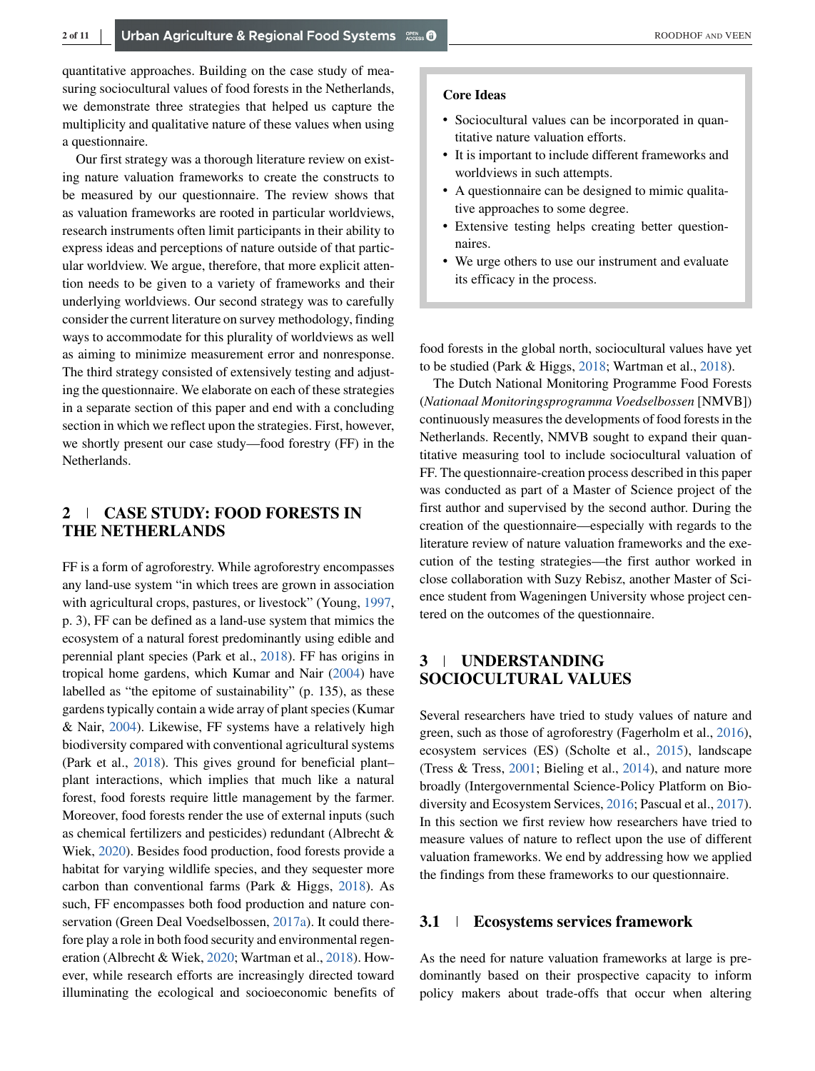quantitative approaches. Building on the case study of measuring sociocultural values of food forests in the Netherlands, we demonstrate three strategies that helped us capture the multiplicity and qualitative nature of these values when using a questionnaire.

Our first strategy was a thorough literature review on existing nature valuation frameworks to create the constructs to be measured by our questionnaire. The review shows that as valuation frameworks are rooted in particular worldviews, research instruments often limit participants in their ability to express ideas and perceptions of nature outside of that particular worldview. We argue, therefore, that more explicit attention needs to be given to a variety of frameworks and their underlying worldviews. Our second strategy was to carefully consider the current literature on survey methodology, finding ways to accommodate for this plurality of worldviews as well as aiming to minimize measurement error and nonresponse. The third strategy consisted of extensively testing and adjusting the questionnaire. We elaborate on each of these strategies in a separate section of this paper and end with a concluding section in which we reflect upon the strategies. First, however, we shortly present our case study—food forestry (FF) in the Netherlands.

# **2 CASE STUDY: FOOD FORESTS IN THE NETHERLANDS**

FF is a form of agroforestry. While agroforestry encompasses any land-use system "in which trees are grown in association with agricultural crops, pastures, or livestock" (Young, [1997,](#page-10-0) p. 3), FF can be defined as a land-use system that mimics the ecosystem of a natural forest predominantly using edible and perennial plant species (Park et al., [2018\)](#page-10-0). FF has origins in tropical home gardens, which Kumar and Nair [\(2004\)](#page-10-0) have labelled as "the epitome of sustainability" (p. 135), as these gardens typically contain a wide array of plant species (Kumar & Nair, [2004\)](#page-10-0). Likewise, FF systems have a relatively high biodiversity compared with conventional agricultural systems (Park et al., [2018\)](#page-10-0). This gives ground for beneficial plant– plant interactions, which implies that much like a natural forest, food forests require little management by the farmer. Moreover, food forests render the use of external inputs (such as chemical fertilizers and pesticides) redundant (Albrecht & Wiek, [2020\)](#page-9-0). Besides food production, food forests provide a habitat for varying wildlife species, and they sequester more carbon than conventional farms (Park & Higgs, [2018\)](#page-10-0). As such, FF encompasses both food production and nature conservation (Green Deal Voedselbossen, [2017a\)](#page-9-0). It could therefore play a role in both food security and environmental regeneration (Albrecht & Wiek, [2020;](#page-9-0) Wartman et al., [2018\)](#page-10-0). However, while research efforts are increasingly directed toward illuminating the ecological and socioeconomic benefits of

#### **Core Ideas**

- ∙ Sociocultural values can be incorporated in quantitative nature valuation efforts.
- ∙ It is important to include different frameworks and worldviews in such attempts.
- ∙ A questionnaire can be designed to mimic qualitative approaches to some degree.
- ∙ Extensive testing helps creating better questionnaires.
- ∙ We urge others to use our instrument and evaluate its efficacy in the process.

food forests in the global north, sociocultural values have yet to be studied (Park & Higgs, [2018;](#page-10-0) Wartman et al., [2018\)](#page-10-0).

The Dutch National Monitoring Programme Food Forests (*Nationaal Monitoringsprogramma Voedselbossen* [NMVB]) continuously measures the developments of food forests in the Netherlands. Recently, NMVB sought to expand their quantitative measuring tool to include sociocultural valuation of FF. The questionnaire-creation process described in this paper was conducted as part of a Master of Science project of the first author and supervised by the second author. During the creation of the questionnaire—especially with regards to the literature review of nature valuation frameworks and the execution of the testing strategies—the first author worked in close collaboration with Suzy Rebisz, another Master of Science student from Wageningen University whose project centered on the outcomes of the questionnaire.

# **3 UNDERSTANDING SOCIOCULTURAL VALUES**

Several researchers have tried to study values of nature and green, such as those of agroforestry (Fagerholm et al., [2016\)](#page-9-0), ecosystem services (ES) (Scholte et al., [2015\)](#page-10-0), landscape (Tress & Tress, [2001;](#page-10-0) Bieling et al., [2014\)](#page-9-0), and nature more broadly (Intergovernmental Science-Policy Platform on Biodiversity and Ecosystem Services, [2016;](#page-9-0) Pascual et al., [2017\)](#page-10-0). In this section we first review how researchers have tried to measure values of nature to reflect upon the use of different valuation frameworks. We end by addressing how we applied the findings from these frameworks to our questionnaire.

# **3.1 Ecosystems services framework**

As the need for nature valuation frameworks at large is predominantly based on their prospective capacity to inform policy makers about trade-offs that occur when altering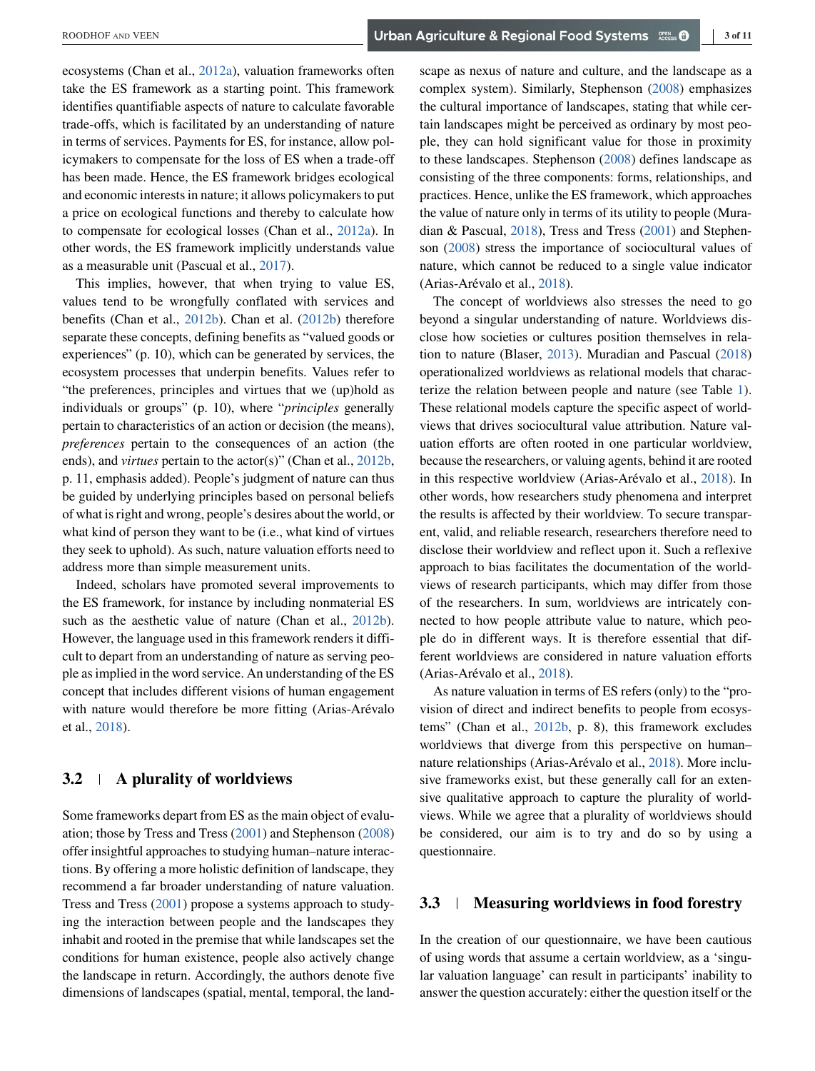ecosystems (Chan et al., [2012a\)](#page-9-0), valuation frameworks often take the ES framework as a starting point. This framework identifies quantifiable aspects of nature to calculate favorable trade-offs, which is facilitated by an understanding of nature in terms of services. Payments for ES, for instance, allow policymakers to compensate for the loss of ES when a trade-off has been made. Hence, the ES framework bridges ecological and economic interests in nature; it allows policymakers to put a price on ecological functions and thereby to calculate how to compensate for ecological losses (Chan et al., [2012a\)](#page-9-0). In other words, the ES framework implicitly understands value as a measurable unit (Pascual et al., [2017\)](#page-10-0).

This implies, however, that when trying to value ES, values tend to be wrongfully conflated with services and benefits (Chan et al., [2012b\)](#page-9-0). Chan et al. [\(2012b\)](#page-9-0) therefore separate these concepts, defining benefits as "valued goods or experiences" (p. 10), which can be generated by services, the ecosystem processes that underpin benefits. Values refer to "the preferences, principles and virtues that we (up)hold as individuals or groups" (p. 10), where "*principles* generally pertain to characteristics of an action or decision (the means), *preferences* pertain to the consequences of an action (the ends), and *virtues* pertain to the actor(s)" (Chan et al., [2012b,](#page-9-0) p. 11, emphasis added). People's judgment of nature can thus be guided by underlying principles based on personal beliefs of what is right and wrong, people's desires about the world, or what kind of person they want to be (i.e., what kind of virtues they seek to uphold). As such, nature valuation efforts need to address more than simple measurement units.

Indeed, scholars have promoted several improvements to the ES framework, for instance by including nonmaterial ES such as the aesthetic value of nature (Chan et al., [2012b\)](#page-9-0). However, the language used in this framework renders it difficult to depart from an understanding of nature as serving people as implied in the word service. An understanding of the ES concept that includes different visions of human engagement with nature would therefore be more fitting (Arias-Arévalo et al., [2018\)](#page-9-0).

# **3.2 A plurality of worldviews**

Some frameworks depart from ES as the main object of evaluation; those by Tress and Tress [\(2001\)](#page-10-0) and Stephenson [\(2008\)](#page-10-0) offer insightful approaches to studying human–nature interactions. By offering a more holistic definition of landscape, they recommend a far broader understanding of nature valuation. Tress and Tress [\(2001\)](#page-10-0) propose a systems approach to studying the interaction between people and the landscapes they inhabit and rooted in the premise that while landscapes set the conditions for human existence, people also actively change the landscape in return. Accordingly, the authors denote five dimensions of landscapes (spatial, mental, temporal, the landscape as nexus of nature and culture, and the landscape as a complex system). Similarly, Stephenson [\(2008\)](#page-10-0) emphasizes the cultural importance of landscapes, stating that while certain landscapes might be perceived as ordinary by most people, they can hold significant value for those in proximity to these landscapes. Stephenson [\(2008\)](#page-10-0) defines landscape as consisting of the three components: forms, relationships, and practices. Hence, unlike the ES framework, which approaches the value of nature only in terms of its utility to people (Muradian & Pascual, [2018\)](#page-10-0), Tress and Tress [\(2001\)](#page-10-0) and Stephenson [\(2008\)](#page-10-0) stress the importance of sociocultural values of nature, which cannot be reduced to a single value indicator (Arias-Arévalo et al., [2018\)](#page-9-0).

The concept of worldviews also stresses the need to go beyond a singular understanding of nature. Worldviews disclose how societies or cultures position themselves in relation to nature (Blaser, [2013\)](#page-9-0). Muradian and Pascual [\(2018\)](#page-10-0) operationalized worldviews as relational models that characterize the relation between people and nature (see Table [1\)](#page-3-0). These relational models capture the specific aspect of worldviews that drives sociocultural value attribution. Nature valuation efforts are often rooted in one particular worldview, because the researchers, or valuing agents, behind it are rooted in this respective worldview (Arias-Arévalo et al., [2018\)](#page-9-0). In other words, how researchers study phenomena and interpret the results is affected by their worldview. To secure transparent, valid, and reliable research, researchers therefore need to disclose their worldview and reflect upon it. Such a reflexive approach to bias facilitates the documentation of the worldviews of research participants, which may differ from those of the researchers. In sum, worldviews are intricately connected to how people attribute value to nature, which people do in different ways. It is therefore essential that different worldviews are considered in nature valuation efforts (Arias-Arévalo et al., [2018\)](#page-9-0).

As nature valuation in terms of ES refers (only) to the "provision of direct and indirect benefits to people from ecosystems" (Chan et al., [2012b,](#page-9-0) p. 8), this framework excludes worldviews that diverge from this perspective on human– nature relationships (Arias-Arévalo et al., [2018\)](#page-9-0). More inclusive frameworks exist, but these generally call for an extensive qualitative approach to capture the plurality of worldviews. While we agree that a plurality of worldviews should be considered, our aim is to try and do so by using a questionnaire.

## **3.3 Measuring worldviews in food forestry**

In the creation of our questionnaire, we have been cautious of using words that assume a certain worldview, as a 'singular valuation language' can result in participants' inability to answer the question accurately: either the question itself or the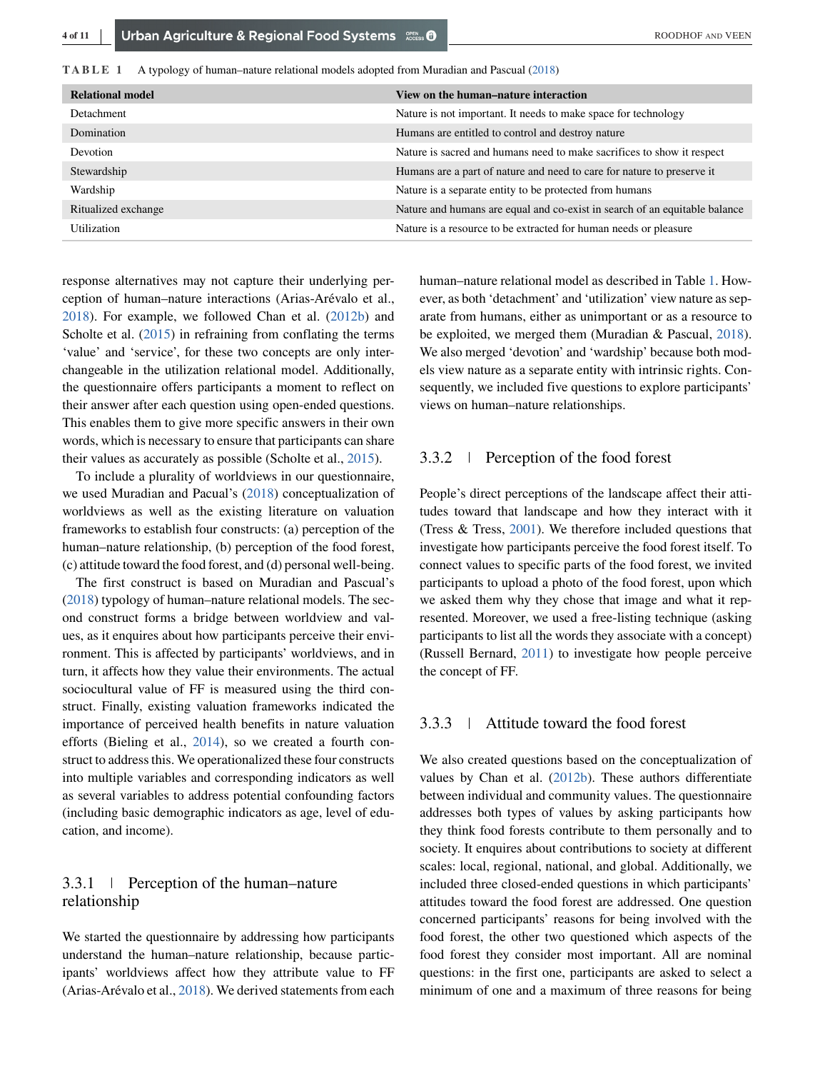<span id="page-3-0"></span>**TABLE 1** A typology of human–nature relational models adopted from Muradian and Pascual [\(2018\)](#page-10-0)

| <b>Relational model</b> | View on the human–nature interaction                                       |
|-------------------------|----------------------------------------------------------------------------|
| Detachment              | Nature is not important. It needs to make space for technology             |
| Domination              | Humans are entitled to control and destroy nature                          |
| <b>Devotion</b>         | Nature is sacred and humans need to make sacrifices to show it respect     |
| Stewardship             | Humans are a part of nature and need to care for nature to preserve it     |
| Wardship                | Nature is a separate entity to be protected from humans                    |
| Ritualized exchange     | Nature and humans are equal and co-exist in search of an equitable balance |
| Utilization             | Nature is a resource to be extracted for human needs or pleasure           |

response alternatives may not capture their underlying perception of human–nature interactions (Arias-Arévalo et al., [2018\)](#page-9-0). For example, we followed Chan et al. [\(2012b\)](#page-9-0) and Scholte et al. [\(2015\)](#page-10-0) in refraining from conflating the terms 'value' and 'service', for these two concepts are only interchangeable in the utilization relational model. Additionally, the questionnaire offers participants a moment to reflect on their answer after each question using open-ended questions. This enables them to give more specific answers in their own words, which is necessary to ensure that participants can share their values as accurately as possible (Scholte et al., [2015\)](#page-10-0).

To include a plurality of worldviews in our questionnaire, we used Muradian and Pacual's [\(2018\)](#page-10-0) conceptualization of worldviews as well as the existing literature on valuation frameworks to establish four constructs: (a) perception of the human–nature relationship, (b) perception of the food forest, (c) attitude toward the food forest, and (d) personal well-being.

The first construct is based on Muradian and Pascual's [\(2018\)](#page-10-0) typology of human–nature relational models. The second construct forms a bridge between worldview and values, as it enquires about how participants perceive their environment. This is affected by participants' worldviews, and in turn, it affects how they value their environments. The actual sociocultural value of FF is measured using the third construct. Finally, existing valuation frameworks indicated the importance of perceived health benefits in nature valuation efforts (Bieling et al., [2014\)](#page-9-0), so we created a fourth construct to address this. We operationalized these four constructs into multiple variables and corresponding indicators as well as several variables to address potential confounding factors (including basic demographic indicators as age, level of education, and income).

# 3.3.1 Perception of the human–nature relationship

We started the questionnaire by addressing how participants understand the human–nature relationship, because participants' worldviews affect how they attribute value to FF (Arias-Arévalo et al., [2018\)](#page-9-0). We derived statements from each

human–nature relational model as described in Table 1. However, as both 'detachment' and 'utilization' view nature as separate from humans, either as unimportant or as a resource to be exploited, we merged them (Muradian & Pascual, [2018\)](#page-10-0). We also merged 'devotion' and 'wardship' because both models view nature as a separate entity with intrinsic rights. Consequently, we included five questions to explore participants' views on human–nature relationships.

# 3.3.2 Perception of the food forest

People's direct perceptions of the landscape affect their attitudes toward that landscape and how they interact with it (Tress & Tress, [2001\)](#page-10-0). We therefore included questions that investigate how participants perceive the food forest itself. To connect values to specific parts of the food forest, we invited participants to upload a photo of the food forest, upon which we asked them why they chose that image and what it represented. Moreover, we used a free-listing technique (asking participants to list all the words they associate with a concept) (Russell Bernard, [2011\)](#page-10-0) to investigate how people perceive the concept of FF.

## 3.3.3 Attitude toward the food forest

We also created questions based on the conceptualization of values by Chan et al. [\(2012b\)](#page-9-0). These authors differentiate between individual and community values. The questionnaire addresses both types of values by asking participants how they think food forests contribute to them personally and to society. It enquires about contributions to society at different scales: local, regional, national, and global. Additionally, we included three closed-ended questions in which participants' attitudes toward the food forest are addressed. One question concerned participants' reasons for being involved with the food forest, the other two questioned which aspects of the food forest they consider most important. All are nominal questions: in the first one, participants are asked to select a minimum of one and a maximum of three reasons for being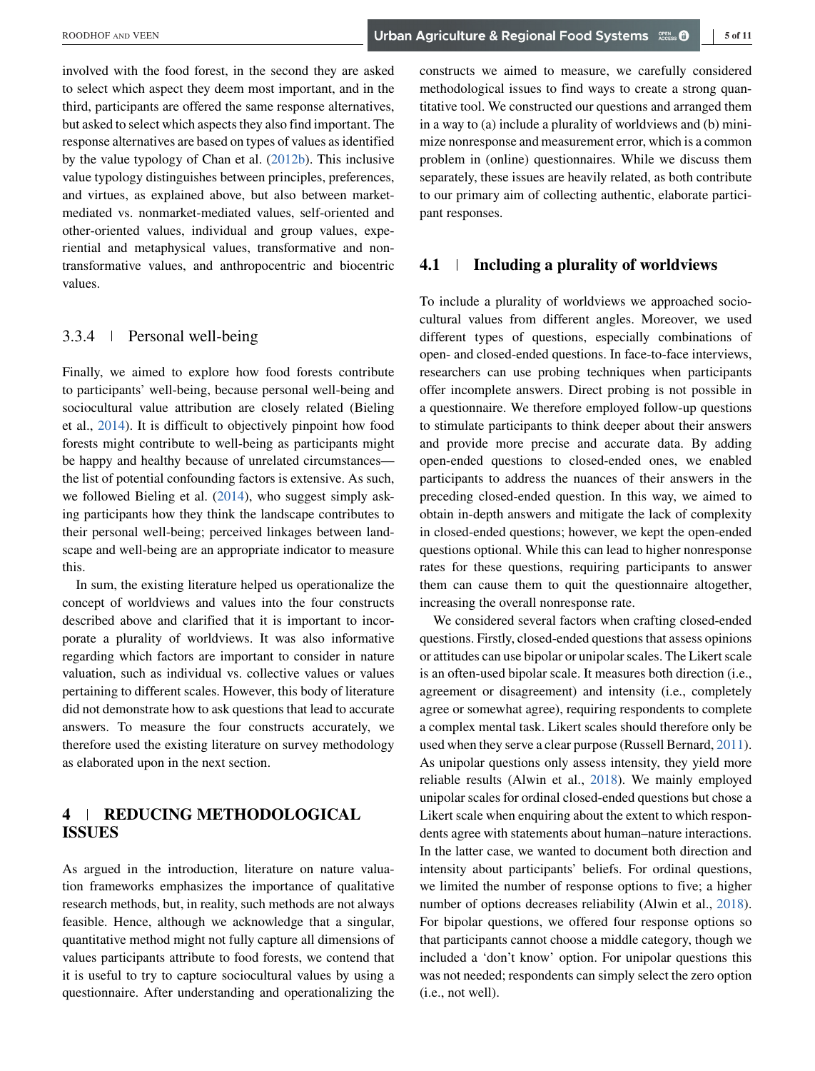involved with the food forest, in the second they are asked to select which aspect they deem most important, and in the third, participants are offered the same response alternatives, but asked to select which aspects they also find important. The response alternatives are based on types of values as identified by the value typology of Chan et al. [\(2012b\)](#page-9-0). This inclusive value typology distinguishes between principles, preferences, and virtues, as explained above, but also between marketmediated vs. nonmarket-mediated values, self-oriented and other-oriented values, individual and group values, experiential and metaphysical values, transformative and nontransformative values, and anthropocentric and biocentric values.

# 3.3.4 Personal well-being

Finally, we aimed to explore how food forests contribute to participants' well-being, because personal well-being and sociocultural value attribution are closely related (Bieling et al., [2014\)](#page-9-0). It is difficult to objectively pinpoint how food forests might contribute to well-being as participants might be happy and healthy because of unrelated circumstances the list of potential confounding factors is extensive. As such, we followed Bieling et al. [\(2014\)](#page-9-0), who suggest simply asking participants how they think the landscape contributes to their personal well-being; perceived linkages between landscape and well-being are an appropriate indicator to measure this.

In sum, the existing literature helped us operationalize the concept of worldviews and values into the four constructs described above and clarified that it is important to incorporate a plurality of worldviews. It was also informative regarding which factors are important to consider in nature valuation, such as individual vs. collective values or values pertaining to different scales. However, this body of literature did not demonstrate how to ask questions that lead to accurate answers. To measure the four constructs accurately, we therefore used the existing literature on survey methodology as elaborated upon in the next section.

# **4 REDUCING METHODOLOGICAL ISSUES**

As argued in the introduction, literature on nature valuation frameworks emphasizes the importance of qualitative research methods, but, in reality, such methods are not always feasible. Hence, although we acknowledge that a singular, quantitative method might not fully capture all dimensions of values participants attribute to food forests, we contend that it is useful to try to capture sociocultural values by using a questionnaire. After understanding and operationalizing the constructs we aimed to measure, we carefully considered methodological issues to find ways to create a strong quantitative tool. We constructed our questions and arranged them in a way to (a) include a plurality of worldviews and (b) minimize nonresponse and measurement error, which is a common problem in (online) questionnaires. While we discuss them separately, these issues are heavily related, as both contribute to our primary aim of collecting authentic, elaborate participant responses.

## **4.1 Including a plurality of worldviews**

To include a plurality of worldviews we approached sociocultural values from different angles. Moreover, we used different types of questions, especially combinations of open- and closed-ended questions. In face-to-face interviews, researchers can use probing techniques when participants offer incomplete answers. Direct probing is not possible in a questionnaire. We therefore employed follow-up questions to stimulate participants to think deeper about their answers and provide more precise and accurate data. By adding open-ended questions to closed-ended ones, we enabled participants to address the nuances of their answers in the preceding closed-ended question. In this way, we aimed to obtain in-depth answers and mitigate the lack of complexity in closed-ended questions; however, we kept the open-ended questions optional. While this can lead to higher nonresponse rates for these questions, requiring participants to answer them can cause them to quit the questionnaire altogether, increasing the overall nonresponse rate.

We considered several factors when crafting closed-ended questions. Firstly, closed-ended questions that assess opinions or attitudes can use bipolar or unipolar scales. The Likert scale is an often-used bipolar scale. It measures both direction (i.e., agreement or disagreement) and intensity (i.e., completely agree or somewhat agree), requiring respondents to complete a complex mental task. Likert scales should therefore only be used when they serve a clear purpose (Russell Bernard, [2011\)](#page-10-0). As unipolar questions only assess intensity, they yield more reliable results (Alwin et al., [2018\)](#page-9-0). We mainly employed unipolar scales for ordinal closed-ended questions but chose a Likert scale when enquiring about the extent to which respondents agree with statements about human–nature interactions. In the latter case, we wanted to document both direction and intensity about participants' beliefs. For ordinal questions, we limited the number of response options to five; a higher number of options decreases reliability (Alwin et al., [2018\)](#page-9-0). For bipolar questions, we offered four response options so that participants cannot choose a middle category, though we included a 'don't know' option. For unipolar questions this was not needed; respondents can simply select the zero option (i.e., not well).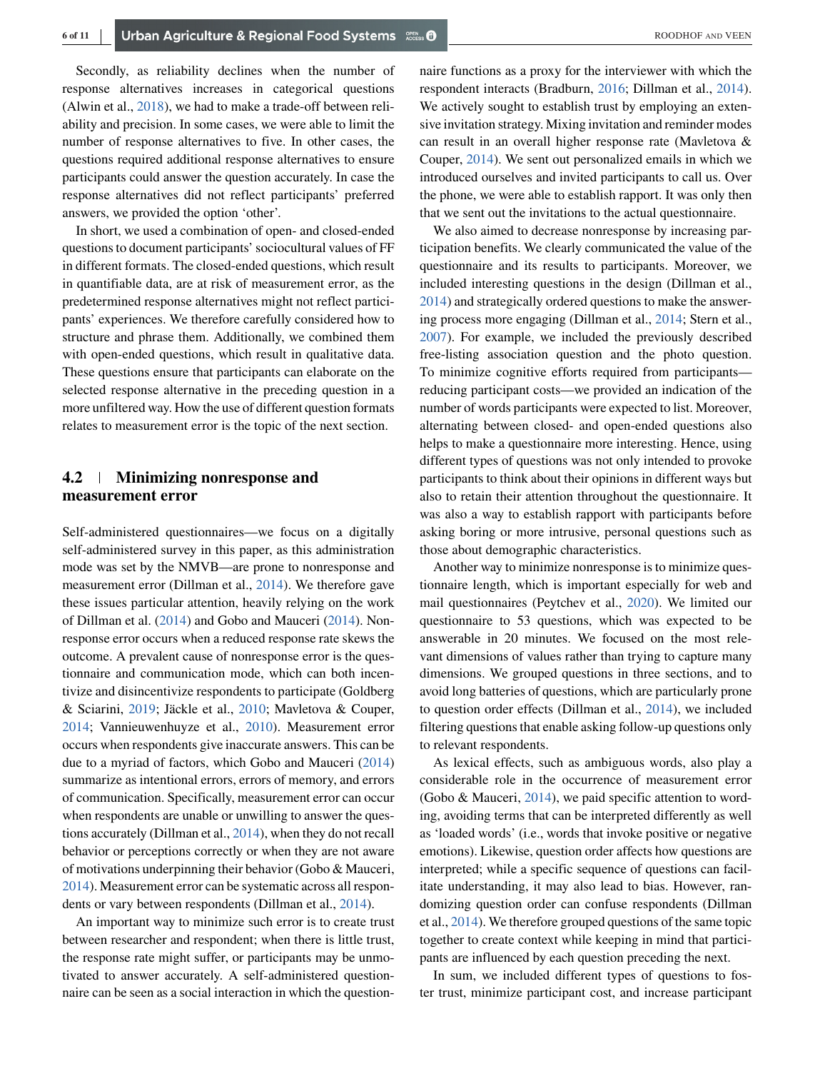Secondly, as reliability declines when the number of response alternatives increases in categorical questions (Alwin et al., [2018\)](#page-9-0), we had to make a trade-off between reliability and precision. In some cases, we were able to limit the number of response alternatives to five. In other cases, the questions required additional response alternatives to ensure participants could answer the question accurately. In case the response alternatives did not reflect participants' preferred answers, we provided the option 'other'.

In short, we used a combination of open- and closed-ended questions to document participants' sociocultural values of FF in different formats. The closed-ended questions, which result in quantifiable data, are at risk of measurement error, as the predetermined response alternatives might not reflect participants' experiences. We therefore carefully considered how to structure and phrase them. Additionally, we combined them with open-ended questions, which result in qualitative data. These questions ensure that participants can elaborate on the selected response alternative in the preceding question in a more unfiltered way. How the use of different question formats relates to measurement error is the topic of the next section.

# **4.2 Minimizing nonresponse and measurement error**

Self-administered questionnaires—we focus on a digitally self-administered survey in this paper, as this administration mode was set by the NMVB—are prone to nonresponse and measurement error (Dillman et al., [2014\)](#page-9-0). We therefore gave these issues particular attention, heavily relying on the work of Dillman et al. [\(2014\)](#page-9-0) and Gobo and Mauceri [\(2014\)](#page-9-0). Nonresponse error occurs when a reduced response rate skews the outcome. A prevalent cause of nonresponse error is the questionnaire and communication mode, which can both incentivize and disincentivize respondents to participate (Goldberg & Sciarini, [2019;](#page-9-0) Jäckle et al., [2010;](#page-10-0) Mavletova & Couper, [2014;](#page-10-0) Vannieuwenhuyze et al., [2010\)](#page-10-0). Measurement error occurs when respondents give inaccurate answers. This can be due to a myriad of factors, which Gobo and Mauceri [\(2014\)](#page-9-0) summarize as intentional errors, errors of memory, and errors of communication. Specifically, measurement error can occur when respondents are unable or unwilling to answer the questions accurately (Dillman et al., [2014\)](#page-9-0), when they do not recall behavior or perceptions correctly or when they are not aware of motivations underpinning their behavior (Gobo & Mauceri, [2014\)](#page-9-0). Measurement error can be systematic across all respondents or vary between respondents (Dillman et al., [2014\)](#page-9-0).

An important way to minimize such error is to create trust between researcher and respondent; when there is little trust, the response rate might suffer, or participants may be unmotivated to answer accurately. A self-administered questionnaire can be seen as a social interaction in which the questionnaire functions as a proxy for the interviewer with which the respondent interacts (Bradburn, [2016;](#page-9-0) Dillman et al., [2014\)](#page-9-0). We actively sought to establish trust by employing an extensive invitation strategy. Mixing invitation and reminder modes can result in an overall higher response rate (Mavletova & Couper, [2014\)](#page-10-0). We sent out personalized emails in which we introduced ourselves and invited participants to call us. Over the phone, we were able to establish rapport. It was only then that we sent out the invitations to the actual questionnaire.

We also aimed to decrease nonresponse by increasing participation benefits. We clearly communicated the value of the questionnaire and its results to participants. Moreover, we included interesting questions in the design (Dillman et al., [2014\)](#page-9-0) and strategically ordered questions to make the answering process more engaging (Dillman et al., [2014;](#page-9-0) Stern et al., [2007\)](#page-10-0). For example, we included the previously described free-listing association question and the photo question. To minimize cognitive efforts required from participants reducing participant costs—we provided an indication of the number of words participants were expected to list. Moreover, alternating between closed- and open-ended questions also helps to make a questionnaire more interesting. Hence, using different types of questions was not only intended to provoke participants to think about their opinions in different ways but also to retain their attention throughout the questionnaire. It was also a way to establish rapport with participants before asking boring or more intrusive, personal questions such as those about demographic characteristics.

Another way to minimize nonresponse is to minimize questionnaire length, which is important especially for web and mail questionnaires (Peytchev et al., [2020\)](#page-10-0). We limited our questionnaire to 53 questions, which was expected to be answerable in 20 minutes. We focused on the most relevant dimensions of values rather than trying to capture many dimensions. We grouped questions in three sections, and to avoid long batteries of questions, which are particularly prone to question order effects (Dillman et al., [2014\)](#page-9-0), we included filtering questions that enable asking follow-up questions only to relevant respondents.

As lexical effects, such as ambiguous words, also play a considerable role in the occurrence of measurement error (Gobo & Mauceri, [2014\)](#page-9-0), we paid specific attention to wording, avoiding terms that can be interpreted differently as well as 'loaded words' (i.e., words that invoke positive or negative emotions). Likewise, question order affects how questions are interpreted; while a specific sequence of questions can facilitate understanding, it may also lead to bias. However, randomizing question order can confuse respondents (Dillman et al., [2014\)](#page-9-0). We therefore grouped questions of the same topic together to create context while keeping in mind that participants are influenced by each question preceding the next.

In sum, we included different types of questions to foster trust, minimize participant cost, and increase participant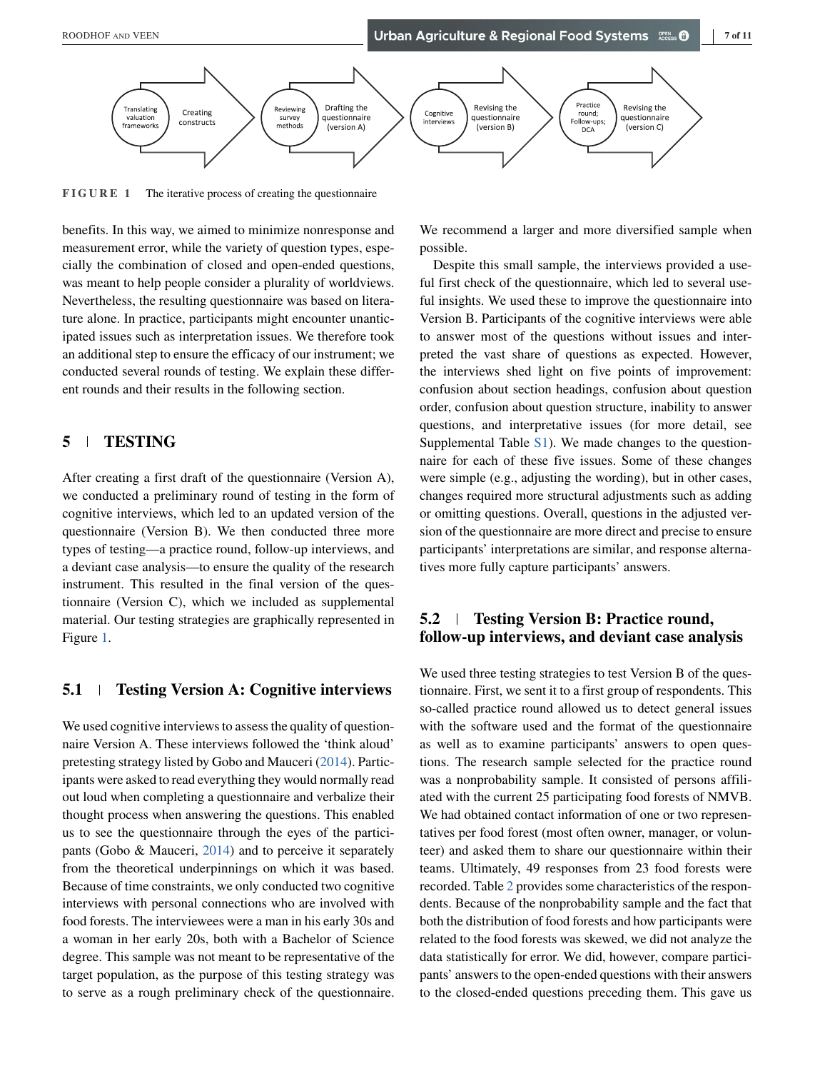

**FIGURE 1** The iterative process of creating the questionnaire

benefits. In this way, we aimed to minimize nonresponse and measurement error, while the variety of question types, especially the combination of closed and open-ended questions, was meant to help people consider a plurality of worldviews. Nevertheless, the resulting questionnaire was based on literature alone. In practice, participants might encounter unanticipated issues such as interpretation issues. We therefore took an additional step to ensure the efficacy of our instrument; we conducted several rounds of testing. We explain these different rounds and their results in the following section.

# **5 TESTING**

After creating a first draft of the questionnaire (Version A), we conducted a preliminary round of testing in the form of cognitive interviews, which led to an updated version of the questionnaire (Version B). We then conducted three more types of testing—a practice round, follow-up interviews, and a deviant case analysis—to ensure the quality of the research instrument. This resulted in the final version of the questionnaire (Version C), which we included as supplemental material. Our testing strategies are graphically represented in Figure 1.

# **5.1 Testing Version A: Cognitive interviews**

We used cognitive interviews to assess the quality of questionnaire Version A. These interviews followed the 'think aloud' pretesting strategy listed by Gobo and Mauceri [\(2014\)](#page-9-0). Participants were asked to read everything they would normally read out loud when completing a questionnaire and verbalize their thought process when answering the questions. This enabled us to see the questionnaire through the eyes of the participants (Gobo & Mauceri, [2014\)](#page-9-0) and to perceive it separately from the theoretical underpinnings on which it was based. Because of time constraints, we only conducted two cognitive interviews with personal connections who are involved with food forests. The interviewees were a man in his early 30s and a woman in her early 20s, both with a Bachelor of Science degree. This sample was not meant to be representative of the target population, as the purpose of this testing strategy was to serve as a rough preliminary check of the questionnaire.

We recommend a larger and more diversified sample when possible.

Despite this small sample, the interviews provided a useful first check of the questionnaire, which led to several useful insights. We used these to improve the questionnaire into Version B. Participants of the cognitive interviews were able to answer most of the questions without issues and interpreted the vast share of questions as expected. However, the interviews shed light on five points of improvement: confusion about section headings, confusion about question order, confusion about question structure, inability to answer questions, and interpretative issues (for more detail, see Supplemental Table  $S1$ ). We made changes to the questionnaire for each of these five issues. Some of these changes were simple (e.g., adjusting the wording), but in other cases, changes required more structural adjustments such as adding or omitting questions. Overall, questions in the adjusted version of the questionnaire are more direct and precise to ensure participants' interpretations are similar, and response alternatives more fully capture participants' answers.

# **5.2 Testing Version B: Practice round, follow-up interviews, and deviant case analysis**

We used three testing strategies to test Version B of the questionnaire. First, we sent it to a first group of respondents. This so-called practice round allowed us to detect general issues with the software used and the format of the questionnaire as well as to examine participants' answers to open questions. The research sample selected for the practice round was a nonprobability sample. It consisted of persons affiliated with the current 25 participating food forests of NMVB. We had obtained contact information of one or two representatives per food forest (most often owner, manager, or volunteer) and asked them to share our questionnaire within their teams. Ultimately, 49 responses from 23 food forests were recorded. Table [2](#page-7-0) provides some characteristics of the respondents. Because of the nonprobability sample and the fact that both the distribution of food forests and how participants were related to the food forests was skewed, we did not analyze the data statistically for error. We did, however, compare participants' answers to the open-ended questions with their answers to the closed-ended questions preceding them. This gave us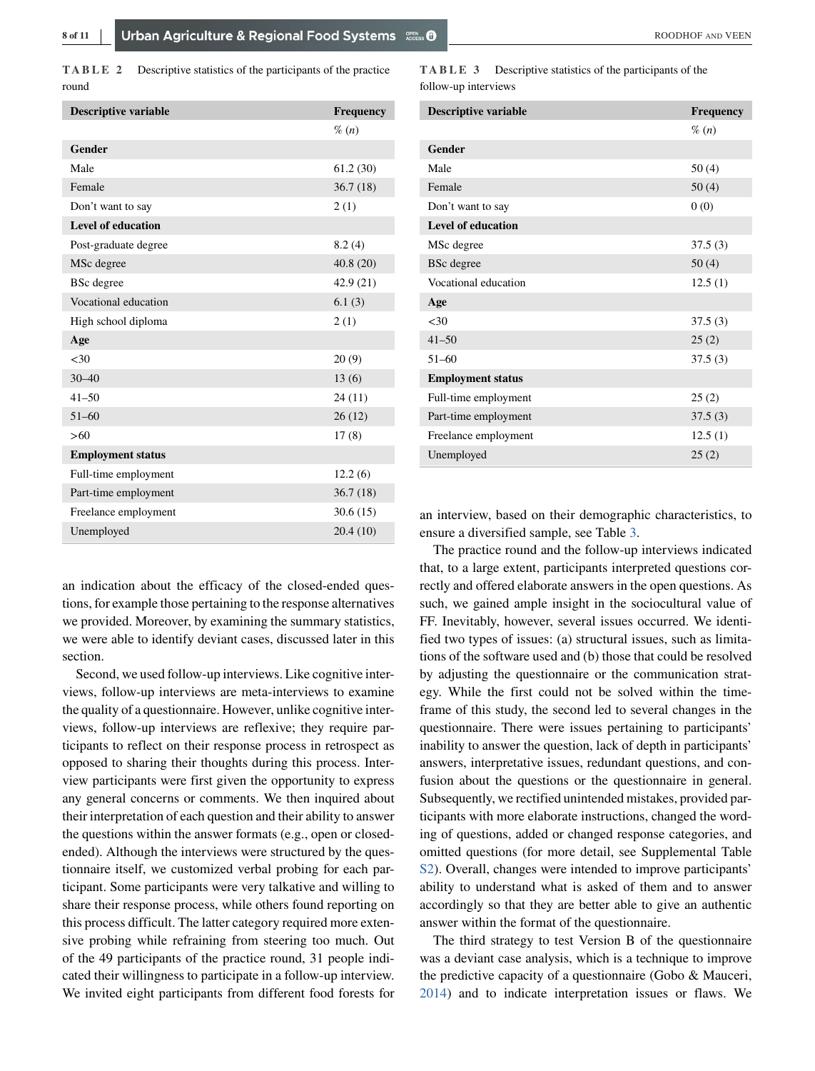<span id="page-7-0"></span>**TABLE 2** Descriptive statistics of the participants of the practice round

| <b>Descriptive variable</b> | <b>Frequency</b> |
|-----------------------------|------------------|
|                             | $\%$ (n)         |
| <b>Gender</b>               |                  |
| Male                        | 61.2(30)         |
| Female                      | 36.7(18)         |
| Don't want to say           | 2(1)             |
| <b>Level of education</b>   |                  |
| Post-graduate degree        | 8.2(4)           |
| MSc degree                  | 40.8(20)         |
| <b>BSc</b> degree           | 42.9 (21)        |
| Vocational education        | 6.1(3)           |
| High school diploma         | 2(1)             |
| Age                         |                  |
| < 30                        | 20(9)            |
| $30 - 40$                   | 13(6)            |
| $41 - 50$                   | 24(11)           |
| $51 - 60$                   | 26(12)           |
| >60                         | 17(8)            |
| <b>Employment status</b>    |                  |
| Full-time employment        | 12.2(6)          |
| Part-time employment        | 36.7(18)         |
| Freelance employment        | 30.6(15)         |
| Unemployed                  | 20.4(10)         |

an indication about the efficacy of the closed-ended questions, for example those pertaining to the response alternatives we provided. Moreover, by examining the summary statistics, we were able to identify deviant cases, discussed later in this section.

Second, we used follow-up interviews. Like cognitive interviews, follow-up interviews are meta-interviews to examine the quality of a questionnaire. However, unlike cognitive interviews, follow-up interviews are reflexive; they require participants to reflect on their response process in retrospect as opposed to sharing their thoughts during this process. Interview participants were first given the opportunity to express any general concerns or comments. We then inquired about their interpretation of each question and their ability to answer the questions within the answer formats (e.g., open or closedended). Although the interviews were structured by the questionnaire itself, we customized verbal probing for each participant. Some participants were very talkative and willing to share their response process, while others found reporting on this process difficult. The latter category required more extensive probing while refraining from steering too much. Out of the 49 participants of the practice round, 31 people indicated their willingness to participate in a follow-up interview. We invited eight participants from different food forests for

**TABLE 3** Descriptive statistics of the participants of the follow-up interviews

| <b>Descriptive variable</b> | <b>Frequency</b> |
|-----------------------------|------------------|
|                             | $\%$ (n)         |
| Gender                      |                  |
| Male                        | 50(4)            |
| Female                      | 50(4)            |
| Don't want to say           | 0(0)             |
| <b>Level of education</b>   |                  |
| MSc degree                  | 37.5(3)          |
| <b>BSc</b> degree           | 50(4)            |
| Vocational education        | 12.5(1)          |
| Age                         |                  |
| <30                         | 37.5(3)          |
| $41 - 50$                   | 25(2)            |
| $51 - 60$                   | 37.5(3)          |
| <b>Employment status</b>    |                  |
| Full-time employment        | 25(2)            |
| Part-time employment        | 37.5(3)          |
| Freelance employment        | 12.5(1)          |
| Unemployed                  | 25(2)            |

an interview, based on their demographic characteristics, to ensure a diversified sample, see Table 3.

The practice round and the follow-up interviews indicated that, to a large extent, participants interpreted questions correctly and offered elaborate answers in the open questions. As such, we gained ample insight in the sociocultural value of FF. Inevitably, however, several issues occurred. We identified two types of issues: (a) structural issues, such as limitations of the software used and (b) those that could be resolved by adjusting the questionnaire or the communication strategy. While the first could not be solved within the timeframe of this study, the second led to several changes in the questionnaire. There were issues pertaining to participants' inability to answer the question, lack of depth in participants' answers, interpretative issues, redundant questions, and confusion about the questions or the questionnaire in general. Subsequently, we rectified unintended mistakes, provided participants with more elaborate instructions, changed the wording of questions, added or changed response categories, and omitted questions (for more detail, see Supplemental Table S2). Overall, changes were intended to improve participants' ability to understand what is asked of them and to answer accordingly so that they are better able to give an authentic answer within the format of the questionnaire.

The third strategy to test Version B of the questionnaire was a deviant case analysis, which is a technique to improve the predictive capacity of a questionnaire (Gobo & Mauceri, [2014\)](#page-9-0) and to indicate interpretation issues or flaws. We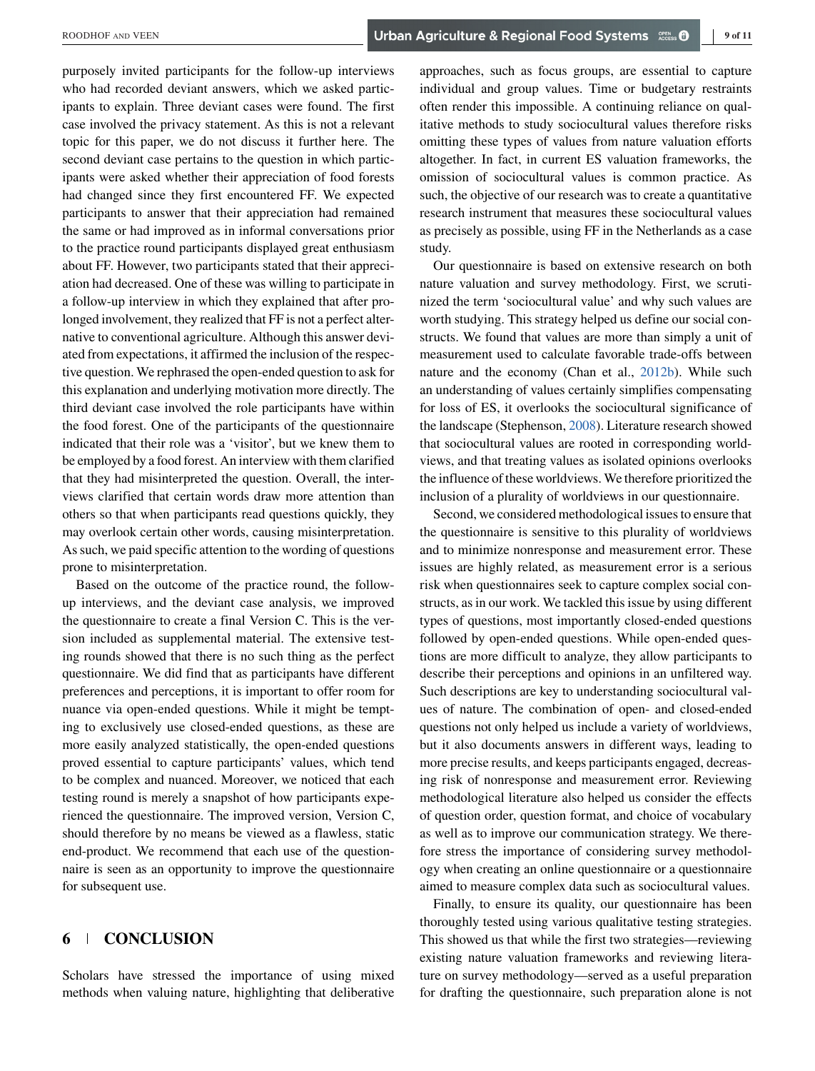purposely invited participants for the follow-up interviews who had recorded deviant answers, which we asked participants to explain. Three deviant cases were found. The first case involved the privacy statement. As this is not a relevant topic for this paper, we do not discuss it further here. The second deviant case pertains to the question in which participants were asked whether their appreciation of food forests had changed since they first encountered FF. We expected participants to answer that their appreciation had remained the same or had improved as in informal conversations prior to the practice round participants displayed great enthusiasm about FF. However, two participants stated that their appreciation had decreased. One of these was willing to participate in a follow-up interview in which they explained that after prolonged involvement, they realized that FF is not a perfect alternative to conventional agriculture. Although this answer deviated from expectations, it affirmed the inclusion of the respective question. We rephrased the open-ended question to ask for this explanation and underlying motivation more directly. The third deviant case involved the role participants have within the food forest. One of the participants of the questionnaire indicated that their role was a 'visitor', but we knew them to be employed by a food forest. An interview with them clarified that they had misinterpreted the question. Overall, the interviews clarified that certain words draw more attention than others so that when participants read questions quickly, they may overlook certain other words, causing misinterpretation. As such, we paid specific attention to the wording of questions prone to misinterpretation.

Based on the outcome of the practice round, the followup interviews, and the deviant case analysis, we improved the questionnaire to create a final Version C. This is the version included as supplemental material. The extensive testing rounds showed that there is no such thing as the perfect questionnaire. We did find that as participants have different preferences and perceptions, it is important to offer room for nuance via open-ended questions. While it might be tempting to exclusively use closed-ended questions, as these are more easily analyzed statistically, the open-ended questions proved essential to capture participants' values, which tend to be complex and nuanced. Moreover, we noticed that each testing round is merely a snapshot of how participants experienced the questionnaire. The improved version, Version C, should therefore by no means be viewed as a flawless, static end-product. We recommend that each use of the questionnaire is seen as an opportunity to improve the questionnaire for subsequent use.

# **6 CONCLUSION**

Scholars have stressed the importance of using mixed methods when valuing nature, highlighting that deliberative

approaches, such as focus groups, are essential to capture individual and group values. Time or budgetary restraints often render this impossible. A continuing reliance on qualitative methods to study sociocultural values therefore risks omitting these types of values from nature valuation efforts altogether. In fact, in current ES valuation frameworks, the omission of sociocultural values is common practice. As such, the objective of our research was to create a quantitative research instrument that measures these sociocultural values as precisely as possible, using FF in the Netherlands as a case study.

Our questionnaire is based on extensive research on both nature valuation and survey methodology. First, we scrutinized the term 'sociocultural value' and why such values are worth studying. This strategy helped us define our social constructs. We found that values are more than simply a unit of measurement used to calculate favorable trade-offs between nature and the economy (Chan et al., [2012b\)](#page-9-0). While such an understanding of values certainly simplifies compensating for loss of ES, it overlooks the sociocultural significance of the landscape (Stephenson, [2008\)](#page-10-0). Literature research showed that sociocultural values are rooted in corresponding worldviews, and that treating values as isolated opinions overlooks the influence of these worldviews. We therefore prioritized the inclusion of a plurality of worldviews in our questionnaire.

Second, we considered methodological issues to ensure that the questionnaire is sensitive to this plurality of worldviews and to minimize nonresponse and measurement error. These issues are highly related, as measurement error is a serious risk when questionnaires seek to capture complex social constructs, as in our work. We tackled this issue by using different types of questions, most importantly closed-ended questions followed by open-ended questions. While open-ended questions are more difficult to analyze, they allow participants to describe their perceptions and opinions in an unfiltered way. Such descriptions are key to understanding sociocultural values of nature. The combination of open- and closed-ended questions not only helped us include a variety of worldviews, but it also documents answers in different ways, leading to more precise results, and keeps participants engaged, decreasing risk of nonresponse and measurement error. Reviewing methodological literature also helped us consider the effects of question order, question format, and choice of vocabulary as well as to improve our communication strategy. We therefore stress the importance of considering survey methodology when creating an online questionnaire or a questionnaire aimed to measure complex data such as sociocultural values.

Finally, to ensure its quality, our questionnaire has been thoroughly tested using various qualitative testing strategies. This showed us that while the first two strategies—reviewing existing nature valuation frameworks and reviewing literature on survey methodology—served as a useful preparation for drafting the questionnaire, such preparation alone is not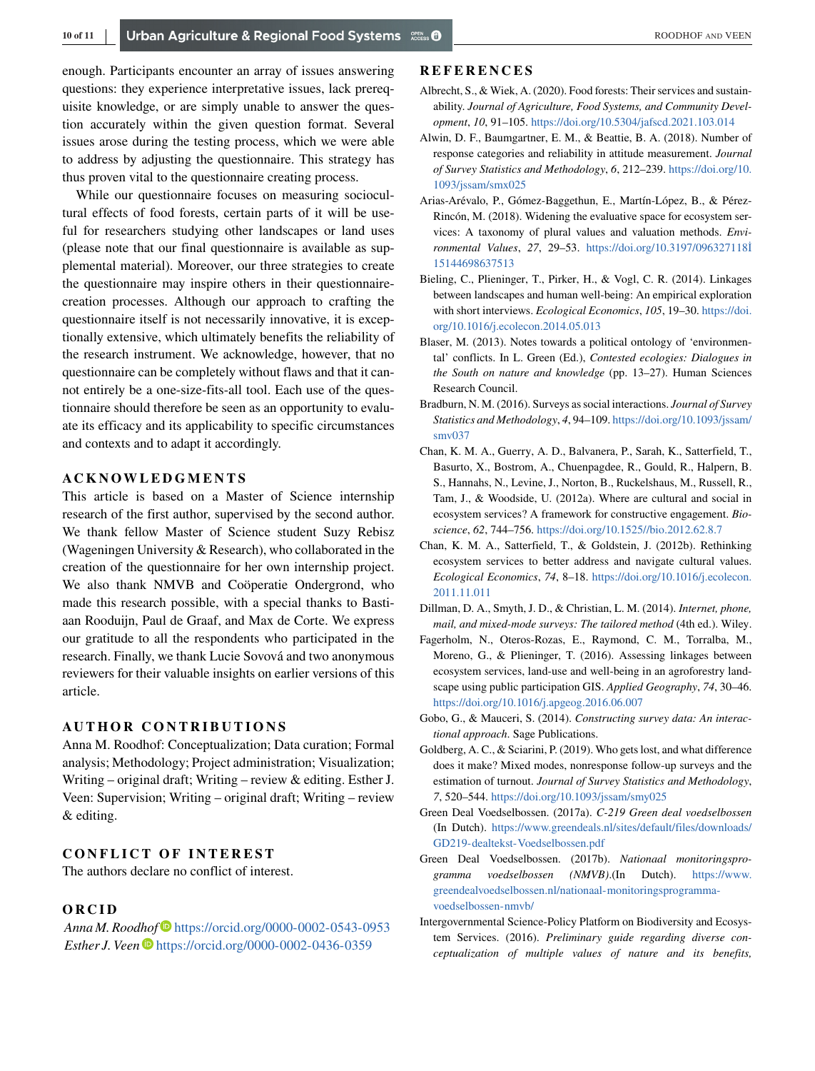<span id="page-9-0"></span>enough. Participants encounter an array of issues answering questions: they experience interpretative issues, lack prerequisite knowledge, or are simply unable to answer the question accurately within the given question format. Several issues arose during the testing process, which we were able to address by adjusting the questionnaire. This strategy has thus proven vital to the questionnaire creating process.

While our questionnaire focuses on measuring sociocultural effects of food forests, certain parts of it will be useful for researchers studying other landscapes or land uses (please note that our final questionnaire is available as supplemental material). Moreover, our three strategies to create the questionnaire may inspire others in their questionnairecreation processes. Although our approach to crafting the questionnaire itself is not necessarily innovative, it is exceptionally extensive, which ultimately benefits the reliability of the research instrument. We acknowledge, however, that no questionnaire can be completely without flaws and that it cannot entirely be a one-size-fits-all tool. Each use of the questionnaire should therefore be seen as an opportunity to evaluate its efficacy and its applicability to specific circumstances and contexts and to adapt it accordingly.

#### **ACKNOWLEDGMENTS**

This article is based on a Master of Science internship research of the first author, supervised by the second author. We thank fellow Master of Science student Suzy Rebisz (Wageningen University & Research), who collaborated in the creation of the questionnaire for her own internship project. We also thank NMVB and Coöperatie Ondergrond, who made this research possible, with a special thanks to Bastiaan Rooduijn, Paul de Graaf, and Max de Corte. We express our gratitude to all the respondents who participated in the research. Finally, we thank Lucie Sovová and two anonymous reviewers for their valuable insights on earlier versions of this article.

### **AUTHOR CONTRIBUTIONS**

Anna M. Roodhof: Conceptualization; Data curation; Formal analysis; Methodology; Project administration; Visualization; Writing – original draft; Writing – review & editing. Esther J. Veen: Supervision; Writing – original draft; Writing – review & editing.

## **CONFLICT OF INTEREST**

The authors declare no conflict of interest.

#### **ORCID**

*Anna M. Roodhof* <https://orcid.org/0000-0002-0543-0953> *Esther J. Veen*  $\bullet$  <https://orcid.org/0000-0002-0436-0359>

## **REFERENCES**

- Albrecht, S., & Wiek, A. (2020). Food forests: Their services and sustainability. *Journal of Agriculture, Food Systems, and Community Development*, *10*, 91–105. <https://doi.org/10.5304/jafscd.2021.103.014>
- Alwin, D. F., Baumgartner, E. M., & Beattie, B. A. (2018). Number of response categories and reliability in attitude measurement. *Journal of Survey Statistics and Methodology*, *6*, 212–239. [https://doi.org/10.](https://doi.org/10.1093/jssam/smx025) [1093/jssam/smx025](https://doi.org/10.1093/jssam/smx025)
- Arias-Arévalo, P., Gómez-Baggethun, E., Martín-López, B., & Pérez-Rincón, M. (2018). Widening the evaluative space for ecosystem services: A taxonomy of plural values and valuation methods. *Environmental Values*, *27*, 29–53. [https://doi.org/10.3197/096327118İ](https://doi.org/10.3197/096327118%D715144698637513) [15144698637513](https://doi.org/10.3197/096327118%D715144698637513)
- Bieling, C., Plieninger, T., Pirker, H., & Vogl, C. R. (2014). Linkages between landscapes and human well-being: An empirical exploration with short interviews. *Ecological Economics*, *105*, 19–30. [https://doi.](https://doi.org/10.1016/j.ecolecon.2014.05.013) [org/10.1016/j.ecolecon.2014.05.013](https://doi.org/10.1016/j.ecolecon.2014.05.013)
- Blaser, M. (2013). Notes towards a political ontology of 'environmental' conflicts. In L. Green (Ed.), *Contested ecologies: Dialogues in the South on nature and knowledge* (pp. 13–27). Human Sciences Research Council.
- Bradburn, N. M. (2016). Surveys as social interactions. *Journal of Survey Statistics and Methodology*, *4*, 94–109. [https://doi.org/10.1093/jssam/](https://doi.org/10.1093/jssam/smv037) [smv037](https://doi.org/10.1093/jssam/smv037)
- Chan, K. M. A., Guerry, A. D., Balvanera, P., Sarah, K., Satterfield, T., Basurto, X., Bostrom, A., Chuenpagdee, R., Gould, R., Halpern, B. S., Hannahs, N., Levine, J., Norton, B., Ruckelshaus, M., Russell, R., Tam, J., & Woodside, U. (2012a). Where are cultural and social in ecosystem services? A framework for constructive engagement. *Bioscience*, *62*, 744–756. <https://doi.org/10.1525//bio.2012.62.8.7>
- Chan, K. M. A., Satterfield, T., & Goldstein, J. (2012b). Rethinking ecosystem services to better address and navigate cultural values. *Ecological Economics*, *74*, 8–18. [https://doi.org/10.1016/j.ecolecon.](https://doi.org/10.1016/j.ecolecon.2011.11.011) [2011.11.011](https://doi.org/10.1016/j.ecolecon.2011.11.011)
- Dillman, D. A., Smyth, J. D., & Christian, L. M. (2014). *Internet, phone, mail, and mixed-mode surveys: The tailored method* (4th ed.). Wiley.
- Fagerholm, N., Oteros-Rozas, E., Raymond, C. M., Torralba, M., Moreno, G., & Plieninger, T. (2016). Assessing linkages between ecosystem services, land-use and well-being in an agroforestry landscape using public participation GIS. *Applied Geography*, *74*, 30–46. <https://doi.org/10.1016/j.apgeog.2016.06.007>
- Gobo, G., & Mauceri, S. (2014). *Constructing survey data: An interactional approach*. Sage Publications.
- Goldberg, A. C., & Sciarini, P. (2019). Who gets lost, and what difference does it make? Mixed modes, nonresponse follow-up surveys and the estimation of turnout. *Journal of Survey Statistics and Methodology*, *7*, 520–544. <https://doi.org/10.1093/jssam/smy025>
- Green Deal Voedselbossen. (2017a). *C-219 Green deal voedselbossen* (In Dutch). [https://www.greendeals.nl/sites/default/files/downloads/](https://www.greendeals.nl/sites/default/files/downloads/GD219-dealtekst-Voedselbossen.pdf) [GD219-dealtekst-Voedselbossen.pdf](https://www.greendeals.nl/sites/default/files/downloads/GD219-dealtekst-Voedselbossen.pdf)
- Green Deal Voedselbossen. (2017b). *Nationaal monitoringsprogramma voedselbossen (NMVB)*.(In Dutch). [https://www.](https://www.greendealvoedselbossen.nl/nationaal-monitoringsprogramma-voedselbossen-nmvb/) [greendealvoedselbossen.nl/nationaal-monitoringsprogramma](https://www.greendealvoedselbossen.nl/nationaal-monitoringsprogramma-voedselbossen-nmvb/)[voedselbossen-nmvb/](https://www.greendealvoedselbossen.nl/nationaal-monitoringsprogramma-voedselbossen-nmvb/)
- Intergovernmental Science-Policy Platform on Biodiversity and Ecosystem Services. (2016). *Preliminary guide regarding diverse conceptualization of multiple values of nature and its benefits,*